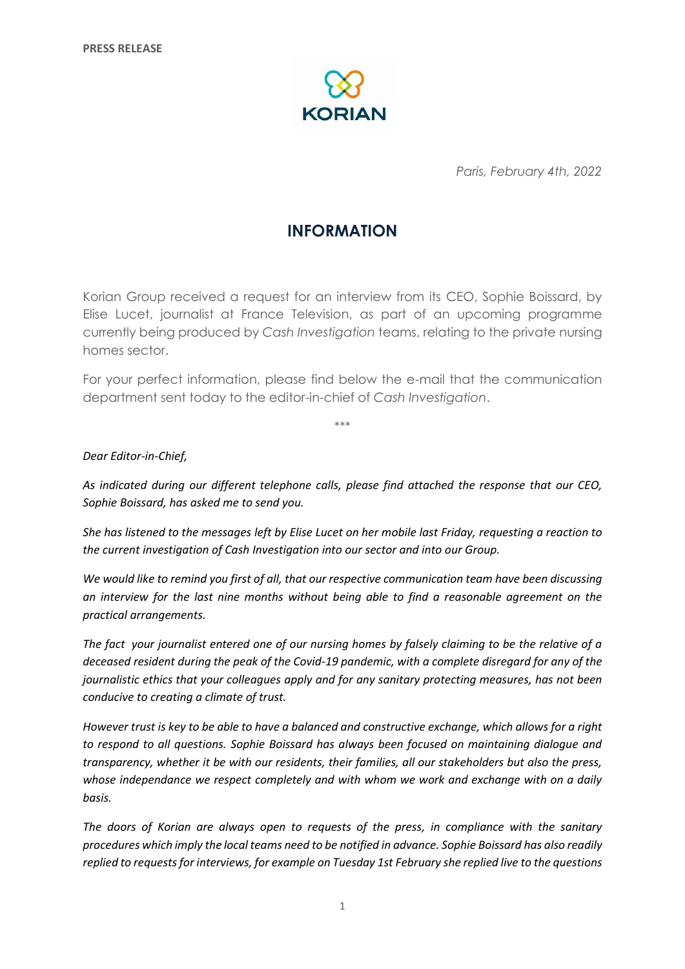

*Paris, February 4th, 2022*

# **INFORMATION**

Korian Group received a request for an interview from its CEO, Sophie Boissard, by Elise Lucet, journalist at France Television, as part of an upcoming programme currently being produced by *Cash Investigation* teams, relating to the private nursing homes sector.

For your perfect information, please find below the e-mail that the communication department sent today to the editor-in-chief of *Cash Investigation*.

\*\*\*

# *Dear Editor-in-Chief,*

*As indicated during our different telephone calls, please find attached the response that our CEO, Sophie Boissard, has asked me to send you.*

*She has listened to the messages left by Elise Lucet on her mobile last Friday, requesting a reaction to the current investigation of Cash Investigation into our sector and into our Group.*

*We would like to remind you first of all, that our respective communication team have been discussing an interview for the last nine months without being able to find a reasonable agreement on the practical arrangements.*

*The fact your journalist entered one of our nursing homes by falsely claiming to be the relative of a deceased resident during the peak of the Covid-19 pandemic, with a complete disregard for any of the journalistic ethics that your colleagues apply and for any sanitary protecting measures, has not been conducive to creating a climate of trust.*

*However trust is key to be able to have a balanced and constructive exchange, which allows for a right to respond to all questions. Sophie Boissard has always been focused on maintaining dialogue and transparency, whether it be with our residents, their families, all our stakeholders but also the press, whose independance we respect completely and with whom we work and exchange with on a daily basis.*

*The doors of Korian are always open to requests of the press, in compliance with the sanitary procedures which imply the local teams need to be notified in advance. Sophie Boissard has also readily replied to requests for interviews, for example on Tuesday 1st February she replied live to the questions*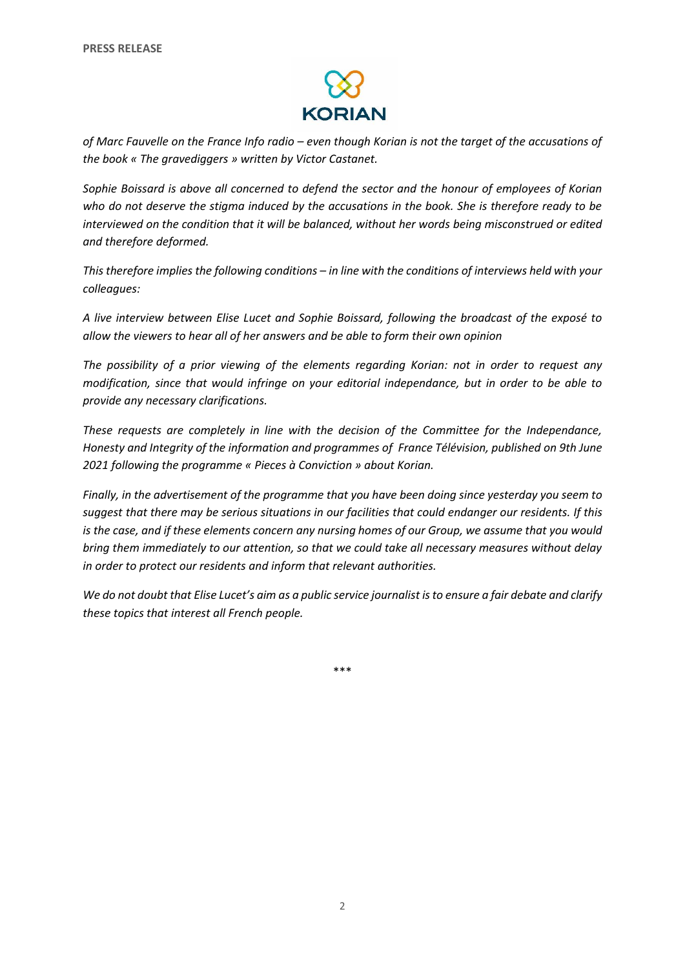

*of Marc Fauvelle on the France Info radio – even though Korian is not the target of the accusations of the book « The gravediggers » written by Victor Castanet.*

*Sophie Boissard is above all concerned to defend the sector and the honour of employees of Korian who do not deserve the stigma induced by the accusations in the book. She is therefore ready to be interviewed on the condition that it will be balanced, without her words being misconstrued or edited and therefore deformed.*

*This therefore implies the following conditions – in line with the conditions of interviews held with your colleagues:*

*A live interview between Elise Lucet and Sophie Boissard, following the broadcast of the exposé to allow the viewers to hear all of her answers and be able to form their own opinion* 

*The possibility of a prior viewing of the elements regarding Korian: not in order to request any modification, since that would infringe on your editorial independance, but in order to be able to provide any necessary clarifications.*

*These requests are completely in line with the decision of the Committee for the Independance, Honesty and Integrity of the information and programmes of France Télévision, published on 9th June 2021 following the programme « Pieces à Conviction » about Korian.*

*Finally, in the advertisement of the programme that you have been doing since yesterday you seem to suggest that there may be serious situations in our facilities that could endanger our residents. If this is the case, and if these elements concern any nursing homes of our Group, we assume that you would bring them immediately to our attention, so that we could take all necessary measures without delay in order to protect our residents and inform that relevant authorities.*

*We do not doubt that Elise Lucet's aim as a public service journalist is to ensure a fair debate and clarify these topics that interest all French people.*

\*\*\*